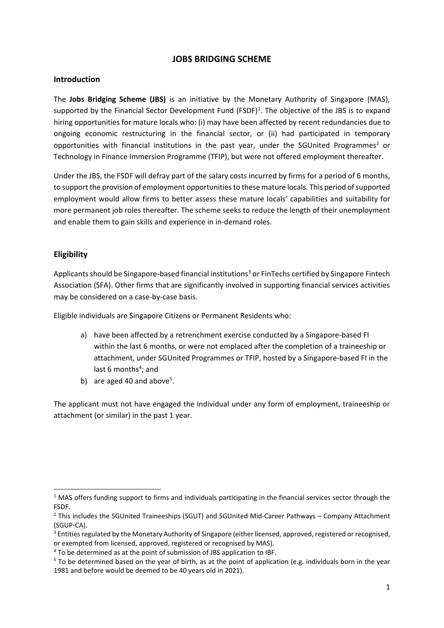# **JOBS BRIDGING SCHEME**

#### **Introduction**

The **Jobs Bridging Scheme (JBS)** is an initiative by the Monetary Authority of Singapore (MAS), supported by the Financial Sector Development Fund  $(FSDF)^1$ . The objective of the JBS is to expand hiring opportunities for mature locals who: (i) may have been affected by recent redundancies due to ongoing economic restructuring in the financial sector, or (ii) had participated in temporary opportunities with financial institutions in the past year, under the SGUnited Programmes<sup>2</sup> or Technology in Finance Immersion Programme (TFIP), but were not offered employment thereafter.

Under the JBS, the FSDF will defray part of the salary costs incurred by firms for a period of 6 months, to support the provision of employment opportunities to these mature locals. This period of supported employment would allow firms to better assess these mature locals' capabilities and suitability for more permanent job roles thereafter. The scheme seeks to reduce the length of their unemployment and enable them to gain skills and experience in in-demand roles.

## **Eligibility**

Applicants should be Singapore-based financial institutions<sup>3</sup> or FinTechs certified by Singapore Fintech Association (SFA). Other firms that are significantly involved in supporting financial services activities may be considered on a case-by-case basis.

Eligible individuals are Singapore Citizens or Permanent Residents who:

- a) have been affected by a retrenchment exercise conducted by a Singapore-based FI within the last 6 months, or were not emplaced after the completion of a traineeship or attachment, under SGUnited Programmes or TFIP, hosted by a Singapore-based FI in the last 6 months<sup>4</sup>; and
- b) are aged 40 and above<sup>5</sup>.

The applicant must not have engaged the individual under any form of employment, traineeship or attachment (or similar) in the past 1 year.

<sup>&</sup>lt;sup>1</sup> MAS offers funding support to firms and individuals participating in the financial services sector through the FSDF.

<sup>2</sup> This includes the SGUnited Traineeships (SGUT) and SGUnited Mid-Career Pathways – Company Attachment (SGUP-CA).

<sup>&</sup>lt;sup>3</sup> Entities regulated by the Monetary Authority of Singapore (either licensed, approved, registered or recognised, or exempted from licensed, approved, registered or recognised by MAS).

<sup>4</sup> To be determined as at the point of submission of JBS application to IBF.

<sup>&</sup>lt;sup>5</sup> To be determined based on the year of birth, as at the point of application (e.g. individuals born in the year 1981 and before would be deemed to be 40 years old in 2021).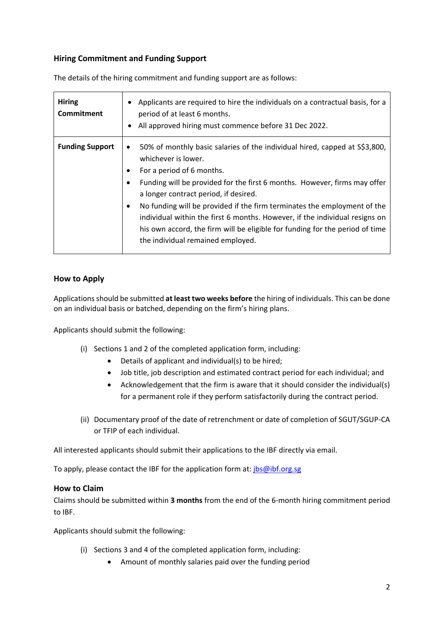# **Hiring Commitment and Funding Support**

| <b>Hiring</b><br>Commitment | Applicants are required to hire the individuals on a contractual basis, for a<br>period of at least 6 months.<br>All approved hiring must commence before 31 Dec 2022.                                                                                                                                                                                                                                                                                                                                                                            |
|-----------------------------|---------------------------------------------------------------------------------------------------------------------------------------------------------------------------------------------------------------------------------------------------------------------------------------------------------------------------------------------------------------------------------------------------------------------------------------------------------------------------------------------------------------------------------------------------|
| <b>Funding Support</b>      | 50% of monthly basic salaries of the individual hired, capped at S\$3,800,<br>whichever is lower.<br>For a period of 6 months.<br>Funding will be provided for the first 6 months. However, firms may offer<br>a longer contract period, if desired.<br>No funding will be provided if the firm terminates the employment of the<br>$\bullet$<br>individual within the first 6 months. However, if the individual resigns on<br>his own accord, the firm will be eligible for funding for the period of time<br>the individual remained employed. |

The details of the hiring commitment and funding support are as follows:

## **How to Apply**

Applications should be submitted **at least two weeks before** the hiring of individuals. This can be done on an individual basis or batched, depending on the firm's hiring plans.

Applicants should submit the following:

- (i) Sections 1 and 2 of the completed application form, including:
	- Details of applicant and individual(s) to be hired;
	- Job title, job description and estimated contract period for each individual; and
	- Acknowledgement that the firm is aware that it should consider the individual(s) for a permanent role if they perform satisfactorily during the contract period.
- (ii) Documentary proof of the date of retrenchment or date of completion of SGUT/SGUP-CA or TFIP of each individual.

All interested applicants should submit their applications to the IBF directly via email.

To apply, please contact the IBF for the application form at: *[jbs@ibf.org.sg](mailto:jbs@ibf.org.sg)* 

#### **How to Claim**

Claims should be submitted within **3 months** from the end of the 6-month hiring commitment period to IBF.

Applicants should submit the following:

- (i) Sections 3 and 4 of the completed application form, including:
	- Amount of monthly salaries paid over the funding period